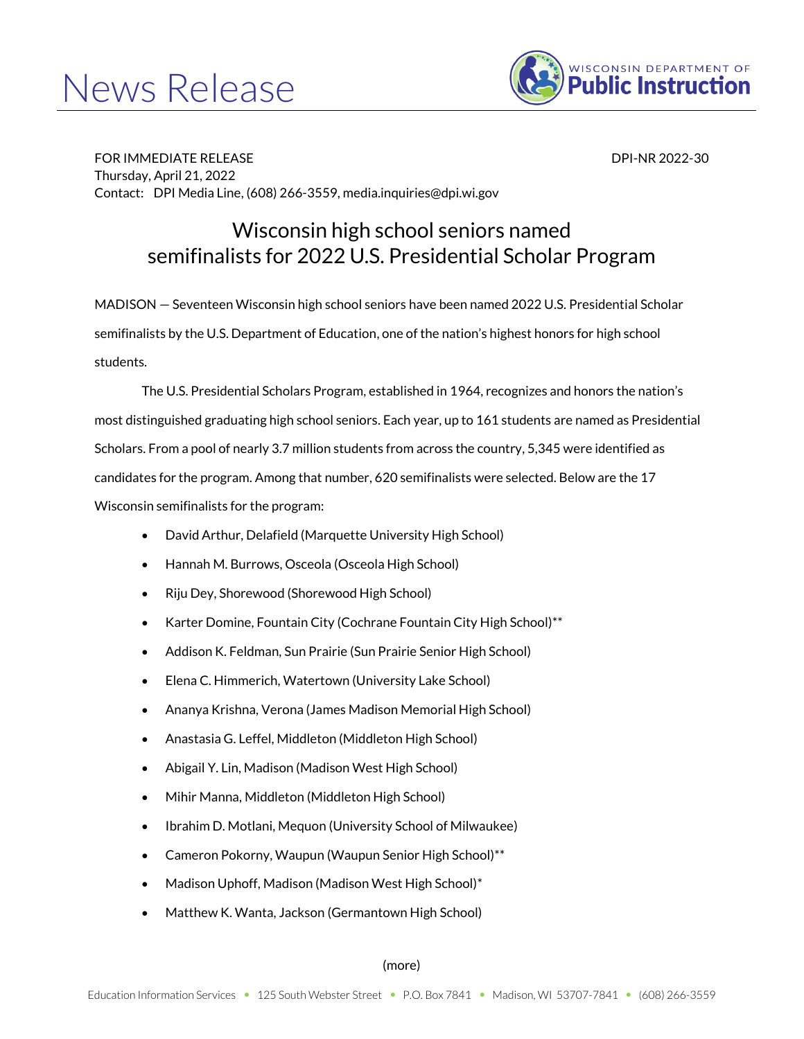## News Release



FOR IMMEDIATE RELEASE DESCRIPTION OF THE SERVICE OF THE SERVICE OF THE SERVICE OF THE SERVICE OF THE SERVICE O Thursday, April 21, 2022 Contact: DPI Media Line, (608) 266-3559, media.inquiries@dpi.wi.gov

## Wisconsin high school seniors named semifinalists for 2022 U.S. Presidential Scholar Program

MADISON — Seventeen Wisconsin high school seniors have been named 2022 U.S. Presidential Scholar semifinalists by the U.S. Department of Education, one of the nation's highest honors for high school students.

The U.S. Presidential Scholars Program, established in 1964, recognizes and honors the nation's most distinguished graduating high school seniors. Each year, up to 161 students are named as Presidential Scholars. From a pool of nearly 3.7 million students from across the country, 5,345 were identified as candidates for the program. Among that number, 620 semifinalists were selected. Below are the 17 Wisconsin semifinalists for the program:

- David Arthur, Delafield (Marquette University High School)
- Hannah M. Burrows, Osceola (Osceola High School)
- Riju Dey, Shorewood (Shorewood High School)
- Karter Domine, Fountain City (Cochrane Fountain City High School)\*\*
- Addison K. Feldman, Sun Prairie (Sun Prairie Senior High School)
- Elena C. Himmerich, Watertown (University Lake School)
- Ananya Krishna, Verona (James Madison Memorial High School)
- Anastasia G. Leffel, Middleton (Middleton High School)
- Abigail Y. Lin, Madison (Madison West High School)
- Mihir Manna, Middleton (Middleton High School)
- Ibrahim D. Motlani, Mequon (University School of Milwaukee)
- Cameron Pokorny, Waupun (Waupun Senior High School)\*\*
- Madison Uphoff, Madison (Madison West High School)\*
- Matthew K. Wanta, Jackson (Germantown High School)

(more)